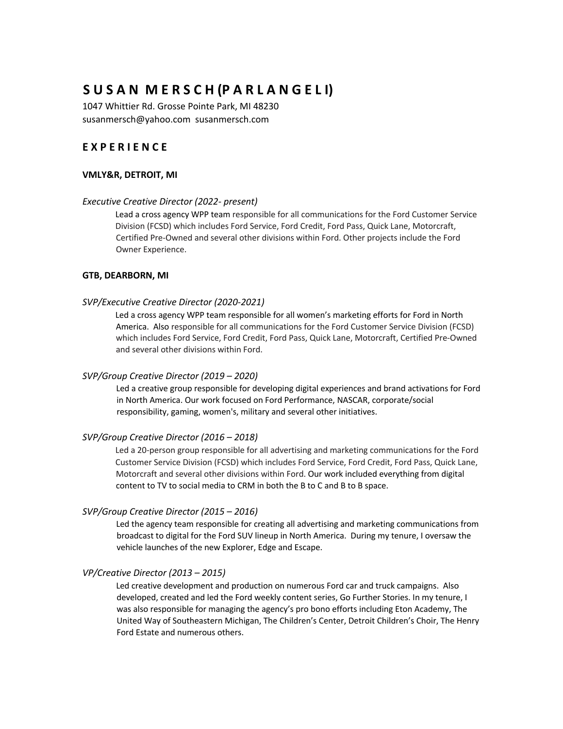# **S U S A N M E R S C H (P A R L A N G E L I)**

1047 Whittier Rd. Grosse Pointe Park, MI 48230 susanmersch@yahoo.com susanmersch.com

# **E X P E R I E N C E**

## **VMLY&R, DETROIT, MI**

#### *Executive Creative Director (2022- present)*

Lead a cross agency WPP team responsible for all communications for the Ford Customer Service Division (FCSD) which includes Ford Service, Ford Credit, Ford Pass, Quick Lane, Motorcraft, Certified Pre-Owned and several other divisions within Ford. Other projects include the Ford Owner Experience.

### **GTB, DEARBORN, MI**

#### *SVP/Executive Creative Director (2020-2021)*

Led a cross agency WPP team responsible for all women's marketing efforts for Ford in North America. Also responsible for all communications for the Ford Customer Service Division (FCSD) which includes Ford Service, Ford Credit, Ford Pass, Quick Lane, Motorcraft, Certified Pre-Owned and several other divisions within Ford.

#### *SVP/Group Creative Director (2019 – 2020)*

Led a creative group responsible for developing digital experiences and brand activations for Ford in North America. Our work focused on Ford Performance, NASCAR, corporate/social responsibility, gaming, women's, military and several other initiatives.

#### *SVP/Group Creative Director (2016 – 2018)*

Led a 20-person group responsible for all advertising and marketing communications for the Ford Customer Service Division (FCSD) which includes Ford Service, Ford Credit, Ford Pass, Quick Lane, Motorcraft and several other divisions within Ford. Our work included everything from digital content to TV to social media to CRM in both the B to C and B to B space.

## *SVP/Group Creative Director (2015 – 2016)*

Led the agency team responsible for creating all advertising and marketing communications from broadcast to digital for the Ford SUV lineup in North America. During my tenure, I oversaw the vehicle launches of the new Explorer, Edge and Escape.

## *VP/Creative Director (2013 – 2015)*

Led creative development and production on numerous Ford car and truck campaigns. Also developed, created and led the Ford weekly content series, Go Further Stories. In my tenure, I was also responsible for managing the agency's pro bono efforts including Eton Academy, The United Way of Southeastern Michigan, The Children's Center, Detroit Children's Choir, The Henry Ford Estate and numerous others.